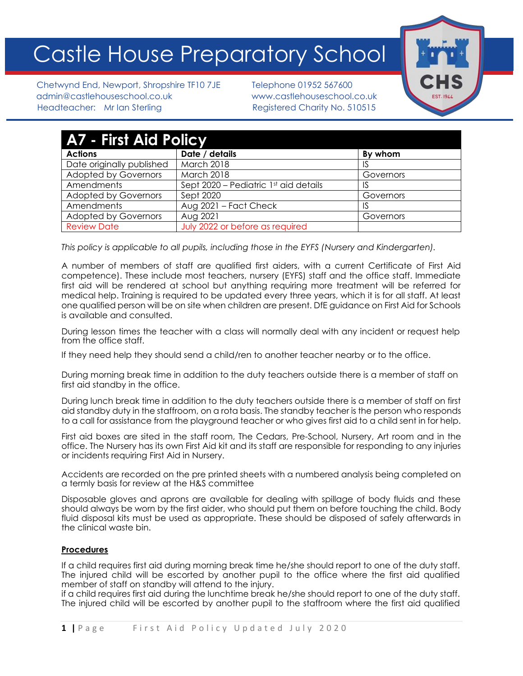# Castle House Preparatory School



Chetwynd End, Newport, Shropshire TF10 7JE Telephone 01952 567600 admin@castlehouseschool.co.uk www.castlehouseschool.co.uk Headteacher: Mr Ian Sterling Registered Charity No. 510515

| <b>A7 - First Aid Policy</b> |                                       |           |
|------------------------------|---------------------------------------|-----------|
| <b>Actions</b>               | Date / details                        | By whom   |
| Date originally published    | March 2018                            | 1S        |
| <b>Adopted by Governors</b>  | <b>March 2018</b>                     | Governors |
| Amendments                   | Sept 2020 – Pediatric 1st aid details | IS        |
| <b>Adopted by Governors</b>  | Sept 2020                             | Governors |
| Amendments                   | Aug 2021 - Fact Check                 | IS.       |
| <b>Adopted by Governors</b>  | Aug 2021                              | Governors |
| <b>Review Date</b>           | July 2022 or before as required       |           |

*This policy is applicable to all pupils, including those in the EYFS (Nursery and Kindergarten).*

A number of members of staff are qualified first aiders, with a current Certificate of First Aid competence). These include most teachers, nursery (EYFS) staff and the office staff. Immediate first aid will be rendered at school but anything requiring more treatment will be referred for medical help. Training is required to be updated every three years, which it is for all staff. At least one qualified person will be on site when children are present. DfE guidance on First Aid for Schools is available and consulted.

During lesson times the teacher with a class will normally deal with any incident or request help from the office staff.

If they need help they should send a child/ren to another teacher nearby or to the office.

During morning break time in addition to the duty teachers outside there is a member of staff on first aid standby in the office.

During lunch break time in addition to the duty teachers outside there is a member of staff on first aid standby duty in the staffroom, on a rota basis. The standby teacher is the person who responds to a call for assistance from the playground teacher or who gives first aid to a child sent in for help.

First aid boxes are sited in the staff room, The Cedars, Pre-School, Nursery, Art room and in the office. The Nursery has its own First Aid kit and its staff are responsible for responding to any injuries or incidents requiring First Aid in Nursery.

Accidents are recorded on the pre printed sheets with a numbered analysis being completed on a termly basis for review at the H&S committee

Disposable gloves and aprons are available for dealing with spillage of body fluids and these should always be worn by the first aider, who should put them on before touching the child. Body fluid disposal kits must be used as appropriate. These should be disposed of safely afterwards in the clinical waste bin.

# **Procedures**

If a child requires first aid during morning break time he/she should report to one of the duty staff. The injured child will be escorted by another pupil to the office where the first aid qualified member of staff on standby will attend to the injury.

if a child requires first aid during the lunchtime break he/she should report to one of the duty staff. The injured child will be escorted by another pupil to the staffroom where the first aid qualified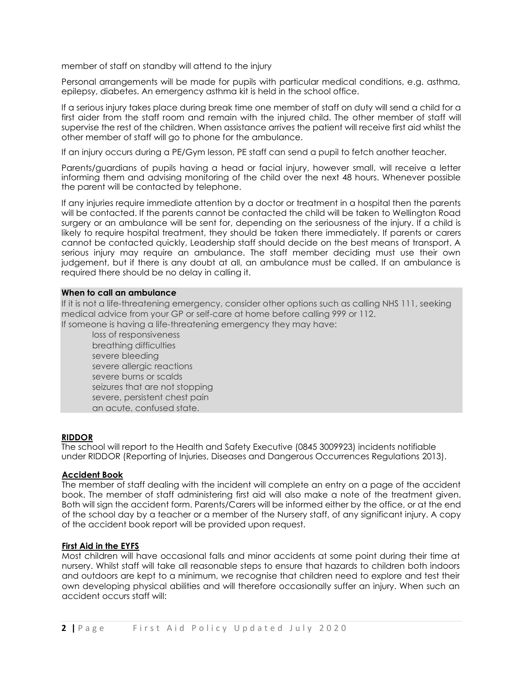member of staff on standby will attend to the injury

Personal arrangements will be made for pupils with particular medical conditions, e.g. asthma, epilepsy, diabetes. An emergency asthma kit is held in the school office.

If a serious injury takes place during break time one member of staff on duty will send a child for a first aider from the staff room and remain with the injured child. The other member of staff will supervise the rest of the children. When assistance arrives the patient will receive first aid whilst the other member of staff will go to phone for the ambulance.

If an injury occurs during a PE/Gym lesson, PE staff can send a pupil to fetch another teacher.

Parents/guardians of pupils having a head or facial injury, however small, will receive a letter informing them and advising monitoring of the child over the next 48 hours. Whenever possible the parent will be contacted by telephone.

If any injuries require immediate attention by a doctor or treatment in a hospital then the parents will be contacted. If the parents cannot be contacted the child will be taken to Wellington Road surgery or an ambulance will be sent for, depending on the seriousness of the injury. If a child is likely to require hospital treatment, they should be taken there immediately. If parents or carers cannot be contacted quickly, Leadership staff should decide on the best means of transport. A serious injury may require an ambulance. The staff member deciding must use their own judgement, but if there is any doubt at all, an ambulance must be called. If an ambulance is required there should be no delay in calling it.

#### **When to call an ambulance**

If it is not a life-threatening emergency, consider other options such as calling NHS 111, seeking medical advice from your GP or self-care at home before calling 999 or 112. If someone is having a life-threatening emergency they may have:

loss of [responsiveness](https://www.sja.org.uk/get-advice/first-aid-advice/unresponsive-casualty/)

breathing difficulties severe [bleeding](https://www.sja.org.uk/get-advice/first-aid-advice/bleeding/severe-bleeding/) severe allergic [reactions](https://www.sja.org.uk/get-advice/first-aid-advice/severe-allergic-reaction/) [severe](https://www.sja.org.uk/get-advice/first-aid-advice/effects-of-heat-and-cold/serious-burns/) burns or scalds [seizures](https://www.sja.org.uk/get-advice/first-aid-advice/seizures/seizures-in-adults/) that are not stopping severe, persistent chest pain an acute, confused state.

#### **RIDDOR**

The school will report to the Health and Safety Executive (0845 3009923) incidents notifiable under RIDDOR (Reporting of Injuries, Diseases and Dangerous Occurrences Regulations 2013).

#### **Accident Book**

The member of staff dealing with the incident will complete an entry on a page of the accident book. The member of staff administering first aid will also make a note of the treatment given. Both will sign the accident form. Parents/Carers will be informed either by the office, or at the end of the school day by a teacher or a member of the Nursery staff, of any significant injury. A copy of the accident book report will be provided upon request.

#### **First Aid in the EYFS**

Most children will have occasional falls and minor accidents at some point during their time at nursery. Whilst staff will take all reasonable steps to ensure that hazards to children both indoors and outdoors are kept to a minimum, we recognise that children need to explore and test their own developing physical abilities and will therefore occasionally suffer an injury. When such an accident occurs staff will: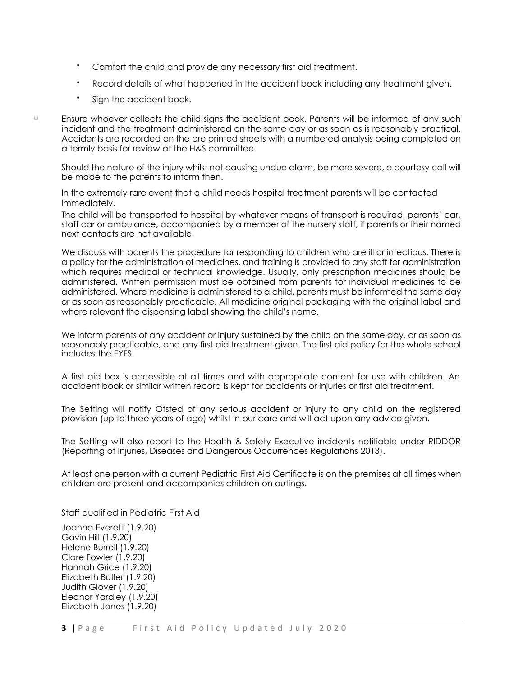- Comfort the child and provide any necessary first aid treatment.
- Record details of what happened in the accident book including any treatment given.
- Sign the accident book.

 $\Box$ 

Ensure whoever collects the child signs the accident book. Parents will be informed of any such incident and the treatment administered on the same day or as soon as is reasonably practical. Accidents are recorded on the pre printed sheets with a numbered analysis being completed on a termly basis for review at the H&S committee.

Should the nature of the injury whilst not causing undue alarm, be more severe, a courtesy call will be made to the parents to inform then.

In the extremely rare event that a child needs hospital treatment parents will be contacted immediately.

The child will be transported to hospital by whatever means of transport is required, parents' car, staff car or ambulance, accompanied by a member of the nursery staff, if parents or their named next contacts are not available.

We discuss with parents the procedure for responding to children who are ill or infectious. There is a policy for the administration of medicines, and training is provided to any staff for administration which requires medical or technical knowledge. Usually, only prescription medicines should be administered. Written permission must be obtained from parents for individual medicines to be administered. Where medicine is administered to a child, parents must be informed the same day or as soon as reasonably practicable. All medicine original packaging with the original label and where relevant the dispensing label showing the child's name.

We inform parents of any accident or injury sustained by the child on the same day, or as soon as reasonably practicable, and any first aid treatment given. The first aid policy for the whole school includes the EYFS.

A first aid box is accessible at all times and with appropriate content for use with children. An accident book or similar written record is kept for accidents or injuries or first aid treatment.

The Setting will notify Ofsted of any serious accident or injury to any child on the registered provision (up to three years of age) whilst in our care and will act upon any advice given.

The Setting will also report to the Health & Safety Executive incidents notifiable under RIDDOR (Reporting of Injuries, Diseases and Dangerous Occurrences Regulations 2013).

At least one person with a current Pediatric First Aid Certificate is on the premises at all times when children are present and accompanies children on outings.

Staff qualified in Pediatric First Aid

Joanna Everett (1.9.20) Gavin Hill (1.9.20) Helene Burrell (1.9.20) Clare Fowler (1.9.20) Hannah Grice (1.9.20) Elizabeth Butler (1.9.20) Judith Glover (1.9.20) Eleanor Yardley (1.9.20) Elizabeth Jones (1.9.20)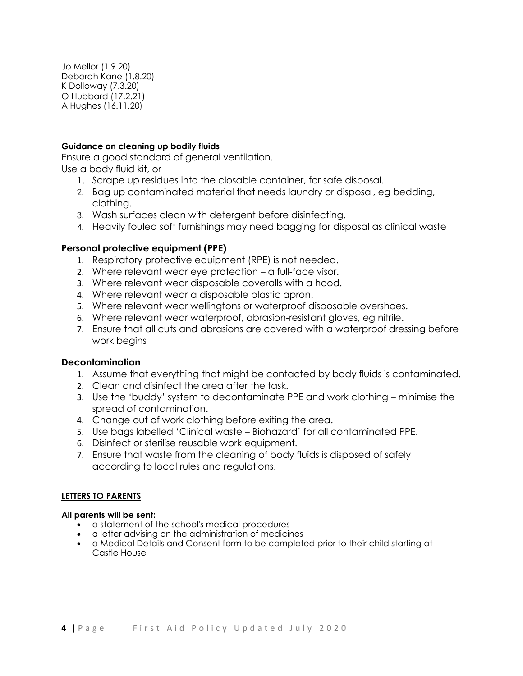Jo Mellor (1.9.20) Deborah Kane (1.8.20) K Dolloway (7.3.20) O Hubbard (17.2.21) A Hughes (16.11.20)

# **Guidance on cleaning up bodily fluids**

Ensure a good standard of general ventilation. Use a body fluid kit, or

- 1. Scrape up residues into the closable container, for safe disposal.
- 2. Bag up contaminated material that needs laundry or disposal, eg bedding, clothing.
- 3. Wash surfaces clean with detergent before disinfecting.
- 4. Heavily fouled soft furnishings may need bagging for disposal as clinical waste

# **Personal protective equipment (PPE)**

- 1. Respiratory protective equipment (RPE) is not needed.
- 2. Where relevant wear eye protection a full-face visor.
- 3. Where relevant wear disposable coveralls with a hood.
- 4. Where relevant wear a disposable plastic apron.
- 5. Where relevant wear wellingtons or waterproof disposable overshoes.
- 6. Where relevant wear waterproof, abrasion-resistant gloves, eg nitrile.
- 7. Ensure that all cuts and abrasions are covered with a waterproof dressing before work begins

# **Decontamination**

- 1. Assume that everything that might be contacted by body fluids is contaminated.
- 2. Clean and disinfect the area after the task.
- 3. Use the 'buddy' system to decontaminate PPE and work clothing minimise the spread of contamination.
- 4. Change out of work clothing before exiting the area.
- 5. Use bags labelled 'Clinical waste Biohazard' for all contaminated PPE.
- 6. Disinfect or sterilise reusable work equipment.
- 7. Ensure that waste from the cleaning of body fluids is disposed of safely according to local rules and regulations.

# **LETTERS TO PARENTS**

#### **All parents will be sent:**

- a statement of the school's medical procedures
- a letter advising on the administration of medicines
- a Medical Details and Consent form to be completed prior to their child starting at Castle House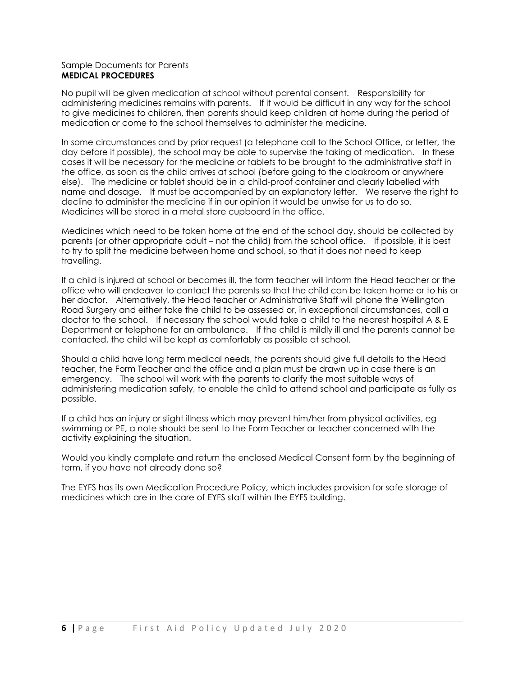#### Sample Documents for Parents **MEDICAL PROCEDURES**

No pupil will be given medication at school without parental consent. Responsibility for administering medicines remains with parents. If it would be difficult in any way for the school to give medicines to children, then parents should keep children at home during the period of medication or come to the school themselves to administer the medicine.

In some circumstances and by prior request (a telephone call to the School Office, or letter, the day before if possible), the school may be able to supervise the taking of medication. In these cases it will be necessary for the medicine or tablets to be brought to the administrative staff in the office, as soon as the child arrives at school (before going to the cloakroom or anywhere else). The medicine or tablet should be in a child-proof container and clearly labelled with name and dosage. It must be accompanied by an explanatory letter. We reserve the right to decline to administer the medicine if in our opinion it would be unwise for us to do so. Medicines will be stored in a metal store cupboard in the office.

Medicines which need to be taken home at the end of the school day, should be collected by parents (or other appropriate adult – not the child) from the school office. If possible, it is best to try to split the medicine between home and school, so that it does not need to keep travelling.

If a child is injured at school or becomes ill, the form teacher will inform the Head teacher or the office who will endeavor to contact the parents so that the child can be taken home or to his or her doctor. Alternatively, the Head teacher or Administrative Staff will phone the Wellington Road Surgery and either take the child to be assessed or, in exceptional circumstances, call a doctor to the school. If necessary the school would take a child to the nearest hospital A & E Department or telephone for an ambulance. If the child is mildly ill and the parents cannot be contacted, the child will be kept as comfortably as possible at school.

Should a child have long term medical needs, the parents should give full details to the Head teacher, the Form Teacher and the office and a plan must be drawn up in case there is an emergency. The school will work with the parents to clarify the most suitable ways of administering medication safely, to enable the child to attend school and participate as fully as possible.

If a child has an injury or slight illness which may prevent him/her from physical activities, eg swimming or PE, a note should be sent to the Form Teacher or teacher concerned with the activity explaining the situation.

Would you kindly complete and return the enclosed Medical Consent form by the beginning of term, if you have not already done so?

The EYFS has its own Medication Procedure Policy, which includes provision for safe storage of medicines which are in the care of EYFS staff within the EYFS building.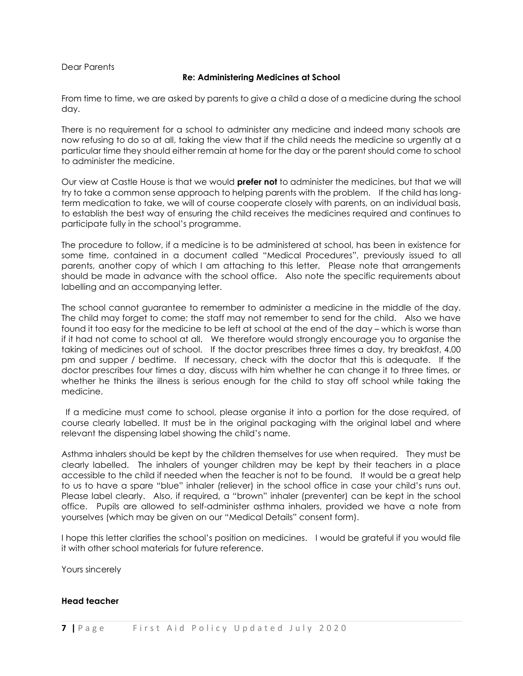### Dear Parents

# **Re: Administering Medicines at School**

From time to time, we are asked by parents to give a child a dose of a medicine during the school day.

There is no requirement for a school to administer any medicine and indeed many schools are now refusing to do so at all, taking the view that if the child needs the medicine so urgently at a particular time they should either remain at home for the day or the parent should come to school to administer the medicine.

Our view at Castle House is that we would **prefer not** to administer the medicines, but that we will try to take a common sense approach to helping parents with the problem. If the child has longterm medication to take, we will of course cooperate closely with parents, on an individual basis, to establish the best way of ensuring the child receives the medicines required and continues to participate fully in the school's programme.

The procedure to follow, if a medicine is to be administered at school, has been in existence for some time, contained in a document called "Medical Procedures", previously issued to all parents, another copy of which I am attaching to this letter. Please note that arrangements should be made in advance with the school office. Also note the specific requirements about labelling and an accompanying letter.

The school cannot guarantee to remember to administer a medicine in the middle of the day. The child may forget to come; the staff may not remember to send for the child. Also we have found it too easy for the medicine to be left at school at the end of the day – which is worse than if it had not come to school at all. We therefore would strongly encourage you to organise the taking of medicines out of school. If the doctor prescribes three times a day, try breakfast, 4.00 pm and supper / bedtime. If necessary, check with the doctor that this is adequate. If the doctor prescribes four times a day, discuss with him whether he can change it to three times, or whether he thinks the illness is serious enough for the child to stay off school while taking the medicine.

If a medicine must come to school, please organise it into a portion for the dose required, of course clearly labelled. It must be in the original packaging with the original label and where relevant the dispensing label showing the child's name.

Asthma inhalers should be kept by the children themselves for use when required. They must be clearly labelled. The inhalers of younger children may be kept by their teachers in a place accessible to the child if needed when the teacher is not to be found. It would be a great help to us to have a spare "blue" inhaler (reliever) in the school office in case your child's runs out. Please label clearly. Also, if required, a "brown" inhaler (preventer) can be kept in the school office. Pupils are allowed to self-administer asthma inhalers, provided we have a note from yourselves (which may be given on our "Medical Details" consent form).

I hope this letter clarifies the school's position on medicines. I would be grateful if you would file it with other school materials for future reference.

Yours sincerely

#### **Head teacher**